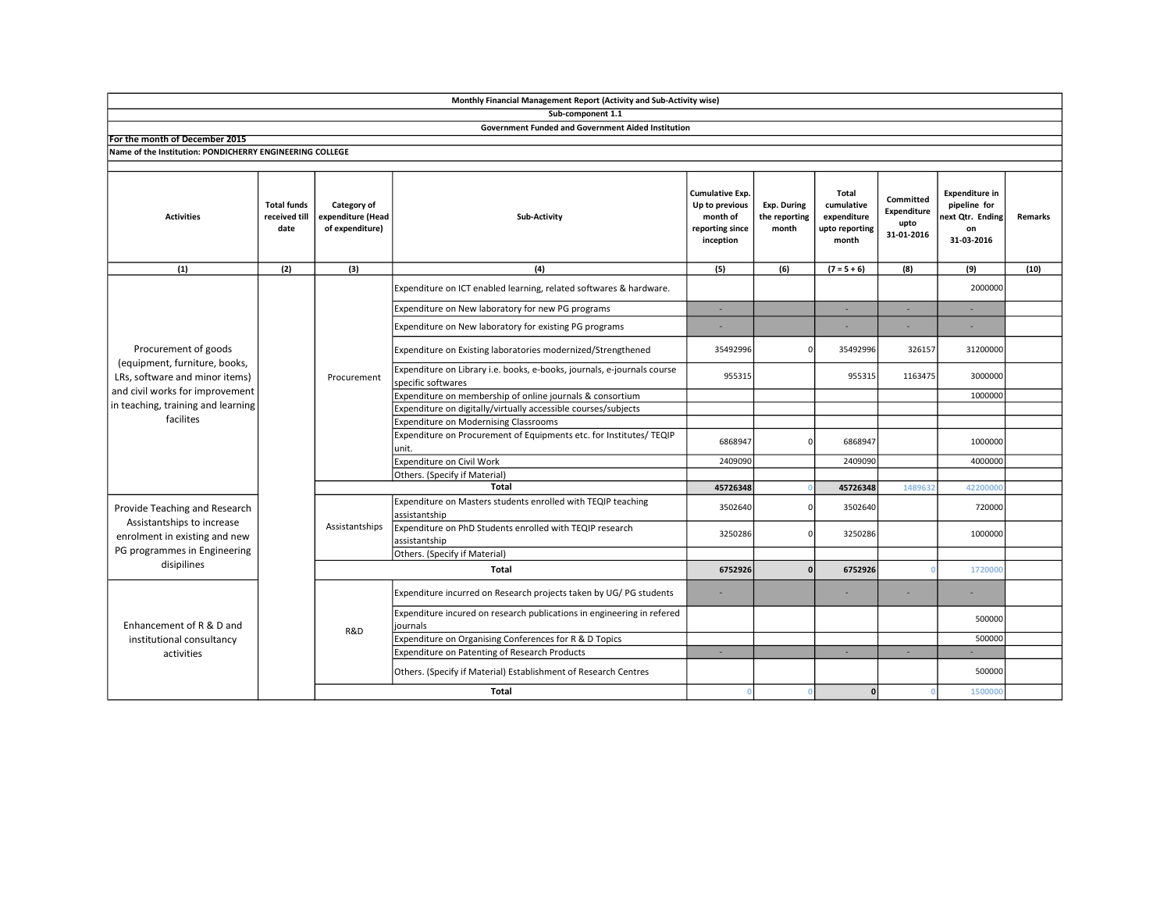|                                                                                                                                                                               |                                             |                                                     | Monthly Financial Management Report (Activity and Sub-Activity wise)                          |                                                                                      |                                       |                                                                      |                                                |                                                                               |                |
|-------------------------------------------------------------------------------------------------------------------------------------------------------------------------------|---------------------------------------------|-----------------------------------------------------|-----------------------------------------------------------------------------------------------|--------------------------------------------------------------------------------------|---------------------------------------|----------------------------------------------------------------------|------------------------------------------------|-------------------------------------------------------------------------------|----------------|
|                                                                                                                                                                               |                                             |                                                     | Sub-component 1.1                                                                             |                                                                                      |                                       |                                                                      |                                                |                                                                               |                |
|                                                                                                                                                                               |                                             |                                                     | <b>Government Funded and Government Aided Institution</b>                                     |                                                                                      |                                       |                                                                      |                                                |                                                                               |                |
| For the month of December 2015                                                                                                                                                |                                             |                                                     |                                                                                               |                                                                                      |                                       |                                                                      |                                                |                                                                               |                |
| Name of the Institution: PONDICHERRY ENGINEERING COLLEGE                                                                                                                      |                                             |                                                     |                                                                                               |                                                                                      |                                       |                                                                      |                                                |                                                                               |                |
| <b>Activities</b>                                                                                                                                                             | <b>Total funds</b><br>received till<br>date | Category of<br>expenditure (Head<br>of expenditure) | Sub-Activity                                                                                  | <b>Cumulative Exp.</b><br>Up to previous<br>month of<br>reporting since<br>inception | Exp. During<br>the reporting<br>month | <b>Total</b><br>cumulative<br>expenditure<br>upto reporting<br>month | Committed<br>Expenditure<br>upto<br>31-01-2016 | <b>Expenditure in</b><br>pipeline for<br>next Qtr. Ending<br>on<br>31-03-2016 | <b>Remarks</b> |
| (1)                                                                                                                                                                           | (2)                                         | (3)                                                 | (4)                                                                                           | (5)                                                                                  | (6)                                   | $(7 = 5 + 6)$                                                        | (8)                                            | (9)                                                                           | (10)           |
| Procurement of goods<br>(equipment, furniture, books,<br>LRs, software and minor items)<br>and civil works for improvement<br>in teaching, training and learning<br>facilites |                                             | Procurement                                         | Expenditure on ICT enabled learning, related softwares & hardware.                            |                                                                                      |                                       |                                                                      |                                                | 2000000                                                                       |                |
|                                                                                                                                                                               |                                             |                                                     | Expenditure on New laboratory for new PG programs                                             | ٠                                                                                    |                                       | ÷.                                                                   |                                                |                                                                               |                |
|                                                                                                                                                                               |                                             |                                                     | Expenditure on New laboratory for existing PG programs                                        |                                                                                      |                                       |                                                                      |                                                |                                                                               |                |
|                                                                                                                                                                               |                                             |                                                     | Expenditure on Existing laboratories modernized/Strengthened                                  | 35492996                                                                             |                                       | 35492996                                                             | 326157                                         | 31200000                                                                      |                |
|                                                                                                                                                                               |                                             |                                                     | Expenditure on Library i.e. books, e-books, journals, e-journals course<br>specific softwares | 955315                                                                               |                                       | 955315                                                               | 1163475                                        | 3000000                                                                       |                |
|                                                                                                                                                                               |                                             |                                                     | Expenditure on membership of online journals & consortium                                     |                                                                                      |                                       |                                                                      |                                                | 1000000                                                                       |                |
|                                                                                                                                                                               |                                             |                                                     | Expenditure on digitally/virtually accessible courses/subjects                                |                                                                                      |                                       |                                                                      |                                                |                                                                               |                |
|                                                                                                                                                                               |                                             |                                                     | Expenditure on Modernising Classrooms                                                         |                                                                                      |                                       |                                                                      |                                                |                                                                               |                |
|                                                                                                                                                                               |                                             |                                                     | Expenditure on Procurement of Equipments etc. for Institutes/ TEQIP<br>unit.                  | 6868947                                                                              | $\Omega$                              | 6868947                                                              |                                                | 1000000                                                                       |                |
|                                                                                                                                                                               |                                             |                                                     | Expenditure on Civil Work                                                                     | 2409090                                                                              |                                       | 2409090                                                              |                                                | 4000000                                                                       |                |
|                                                                                                                                                                               |                                             |                                                     | Others. (Specify if Material)                                                                 |                                                                                      |                                       |                                                                      |                                                |                                                                               |                |
|                                                                                                                                                                               |                                             |                                                     | 45726348                                                                                      |                                                                                      | 45726348                              | 148963                                                               | 4220000                                        |                                                                               |                |
| Provide Teaching and Research<br>Assistantships to increase<br>enrolment in existing and new<br>PG programmes in Engineering<br>disipilines                                   |                                             | Assistantships                                      | Expenditure on Masters students enrolled with TEQIP teaching<br>assistantship                 | 3502640                                                                              |                                       | 3502640                                                              |                                                | 720000                                                                        |                |
|                                                                                                                                                                               |                                             |                                                     | Expenditure on PhD Students enrolled with TEQIP research<br>assistantship                     | 3250286                                                                              |                                       | 3250286                                                              |                                                | 1000000                                                                       |                |
|                                                                                                                                                                               |                                             |                                                     | Others. (Specify if Material)                                                                 |                                                                                      |                                       |                                                                      |                                                |                                                                               |                |
|                                                                                                                                                                               |                                             | Total                                               |                                                                                               | 6752926                                                                              |                                       | 6752926                                                              | n                                              | 1720000                                                                       |                |
| Enhancement of R & D and<br>institutional consultancy<br>activities                                                                                                           |                                             | R&D                                                 | Expenditure incurred on Research projects taken by UG/PG students                             |                                                                                      |                                       |                                                                      |                                                |                                                                               |                |
|                                                                                                                                                                               |                                             |                                                     | Expenditure incured on research publications in engineering in refered<br>journals            |                                                                                      |                                       |                                                                      |                                                | 500000                                                                        |                |
|                                                                                                                                                                               |                                             |                                                     | Expenditure on Organising Conferences for R & D Topics                                        |                                                                                      |                                       |                                                                      |                                                | 500000                                                                        |                |
|                                                                                                                                                                               |                                             |                                                     | Expenditure on Patenting of Research Products                                                 | $\sim$                                                                               |                                       | ×.                                                                   | $\sim$                                         |                                                                               |                |
|                                                                                                                                                                               |                                             |                                                     | Others. (Specify if Material) Establishment of Research Centres                               |                                                                                      |                                       |                                                                      |                                                | 500000                                                                        |                |
|                                                                                                                                                                               |                                             |                                                     | <b>Total</b>                                                                                  | $\Omega$                                                                             |                                       | $\Omega$                                                             | $\Omega$                                       | 1500000                                                                       |                |